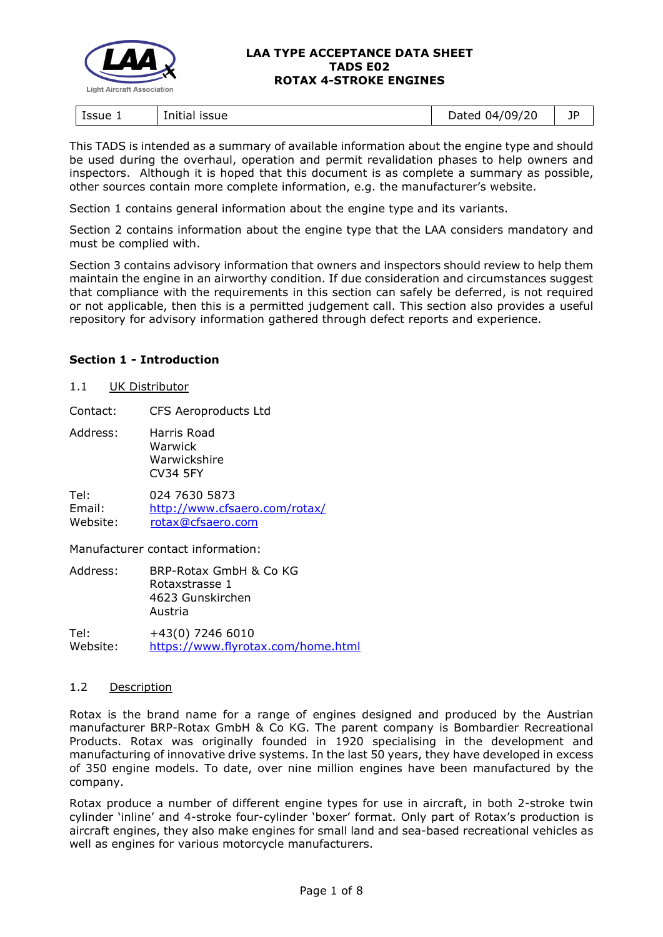

This TADS is intended as a summary of available information about the engine type and should be used during the overhaul, operation and permit revalidation phases to help owners and inspectors. Although it is hoped that this document is as complete a summary as possible, other sources contain more complete information, e.g. the manufacturer's website.

Section 1 contains general information about the engine type and its variants.

Section 2 contains information about the engine type that the LAA considers mandatory and must be complied with.

Section 3 contains advisory information that owners and inspectors should review to help them maintain the engine in an airworthy condition. If due consideration and circumstances suggest that compliance with the requirements in this section can safely be deferred, is not required or not applicable, then this is a permitted judgement call. This section also provides a useful repository for advisory information gathered through defect reports and experience.

## **Section 1 - Introduction**

#### 1.1 UK Distributor

Contact: CFS Aeroproducts Ltd

Address: Harris Road Warwick Warwickshire CV34 5FY

Tel: 024 7630 5873 Email: <http://www.cfsaero.com/rotax/> Website: [rotax@cfsaero.com](mailto:rotax@cfsaero.com)

Manufacturer contact information:

| Address: | BRP-Rotax GmbH & Co KG<br>Rotaxstrasse 1 |  |
|----------|------------------------------------------|--|
|          | 4623 Gunskirchen<br>Austria              |  |
| Tel:     | +43(0) 7246 6010                         |  |

Website: <https://www.flyrotax.com/home.html>

## 1.2 Description

Rotax is the brand name for a range of engines designed and produced by the Austrian manufacturer BRP-Rotax GmbH & Co KG. The parent company is Bombardier Recreational Products. Rotax was originally founded in 1920 specialising in the development and manufacturing of innovative drive systems. In the last 50 years, they have developed in excess of 350 engine models. To date, over nine million engines have been manufactured by the company.

Rotax produce a number of different engine types for use in aircraft, in both 2-stroke twin cylinder 'inline' and 4-stroke four-cylinder 'boxer' format. Only part of Rotax's production is aircraft engines, they also make engines for small land and sea-based recreational vehicles as well as engines for various motorcycle manufacturers.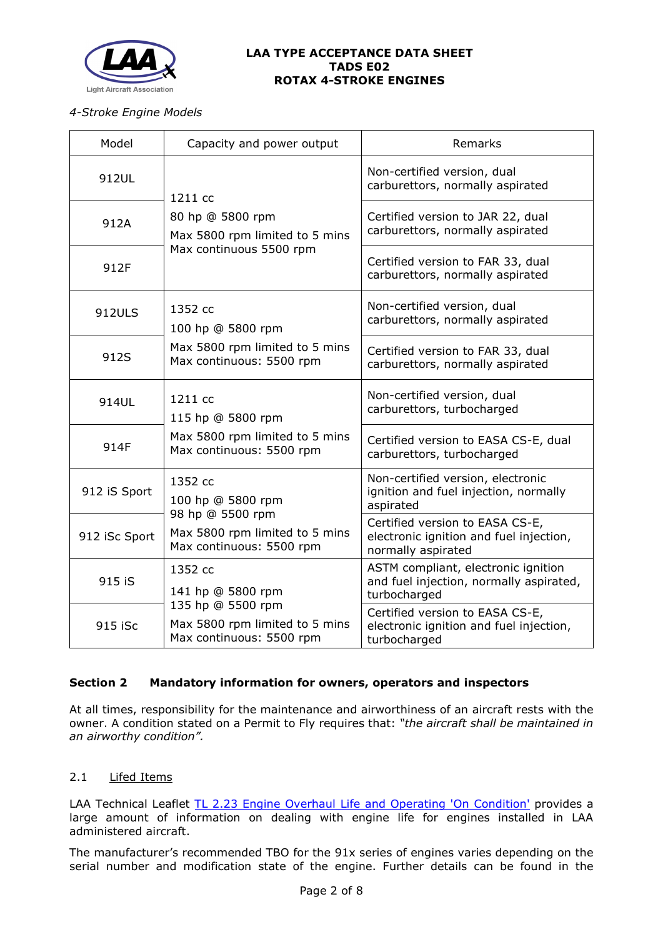

## *4-Stroke Engine Models*

| Model         | Capacity and power output                                                       | Remarks                                                                                          |
|---------------|---------------------------------------------------------------------------------|--------------------------------------------------------------------------------------------------|
| 912UL         | 1211 cc                                                                         | Non-certified version, dual<br>carburettors, normally aspirated                                  |
| 912A          | 80 hp @ 5800 rpm<br>Max 5800 rpm limited to 5 mins<br>Max continuous 5500 rpm   | Certified version to JAR 22, dual<br>carburettors, normally aspirated                            |
| 912F          |                                                                                 | Certified version to FAR 33, dual<br>carburettors, normally aspirated                            |
| <b>912ULS</b> | 1352 cc<br>100 hp @ 5800 rpm                                                    | Non-certified version, dual<br>carburettors, normally aspirated                                  |
| 912S          | Max 5800 rpm limited to 5 mins<br>Max continuous: 5500 rpm                      | Certified version to FAR 33, dual<br>carburettors, normally aspirated                            |
| 914UL         | 1211 cc<br>115 hp @ 5800 rpm                                                    | Non-certified version, dual<br>carburettors, turbocharged                                        |
| 914F          | Max 5800 rpm limited to 5 mins<br>Max continuous: 5500 rpm                      | Certified version to EASA CS-E, dual<br>carburettors, turbocharged                               |
| 912 iS Sport  | 1352 cc<br>100 hp @ 5800 rpm<br>98 hp @ 5500 rpm                                | Non-certified version, electronic<br>ignition and fuel injection, normally<br>aspirated          |
| 912 iSc Sport | Max 5800 rpm limited to 5 mins<br>Max continuous: 5500 rpm                      | Certified version to EASA CS-E,<br>electronic ignition and fuel injection,<br>normally aspirated |
| 915 iS        | 1352 cc<br>141 hp @ 5800 rpm                                                    | ASTM compliant, electronic ignition<br>and fuel injection, normally aspirated,<br>turbocharged   |
| 915 iSc       | 135 hp @ 5500 rpm<br>Max 5800 rpm limited to 5 mins<br>Max continuous: 5500 rpm | Certified version to EASA CS-E,<br>electronic ignition and fuel injection,<br>turbocharged       |

# **Section 2 Mandatory information for owners, operators and inspectors**

At all times, responsibility for the maintenance and airworthiness of an aircraft rests with the owner. A condition stated on a Permit to Fly requires that: *"the aircraft shall be maintained in an airworthy condition".* 

# 2.1 Lifed Items

LAA Technical Leaflet [TL 2.23 Engine Overhaul Life and Operating 'On Condition'](http://www.lightaircraftassociation.co.uk/engineering/TechnicalLeaflets/Operating%20An%20Aircraft/TL%202%2023%20Engine%20overhaul%20life%20and%20operating%20on-condition.pdf) provides a large amount of information on dealing with engine life for engines installed in LAA administered aircraft.

The manufacturer's recommended TBO for the 91x series of engines varies depending on the serial number and modification state of the engine. Further details can be found in the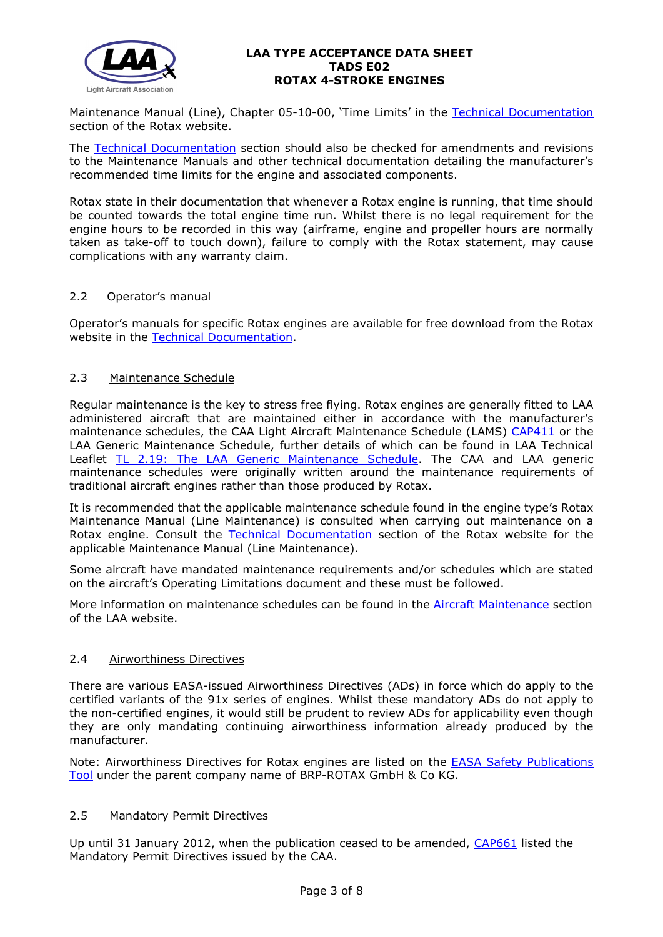

Maintenance Manual (Line), Chapter 05-10-00, 'Time Limits' in the Technical Documentation section of the Rotax website.

The [Technical Documentation](https://www.flyrotax.com/services/technical-documentation.html) section should also be checked for amendments and revisions to the Maintenance Manuals and other technical documentation detailing the manufacturer's recommended time limits for the engine and associated components.

Rotax state in their documentation that whenever a Rotax engine is running, that time should be counted towards the total engine time run. Whilst there is no legal requirement for the engine hours to be recorded in this way (airframe, engine and propeller hours are normally taken as take-off to touch down), failure to comply with the Rotax statement, may cause complications with any warranty claim.

## 2.2 Operator's manual

Operator's manuals for specific Rotax engines are available for free download from the Rotax website in the [Technical Documentation.](https://www.flyrotax.com/services/technical-documentation.html)

## 2.3 Maintenance Schedule

Regular maintenance is the key to stress free flying. Rotax engines are generally fitted to LAA administered aircraft that are maintained either in accordance with the manufacturer's maintenance schedules, the CAA Light Aircraft Maintenance Schedule (LAMS) [CAP411](http://www.caa.co.uk/CAP411) or the LAA Generic Maintenance Schedule, further details of which can be found in LAA Technical Leaflet [TL 2.19: The LAA Generic Maintenance Schedule.](http://www.lightaircraftassociation.co.uk/engineering/TechnicalLeaflets/Operating%20An%20Aircraft/TL%202.19%20The%20LAA%20Generic%20Maintenance%20Schedule.pdf) The CAA and LAA generic maintenance schedules were originally written around the maintenance requirements of traditional aircraft engines rather than those produced by Rotax.

It is recommended that the applicable maintenance schedule found in the engine type's Rotax Maintenance Manual (Line Maintenance) is consulted when carrying out maintenance on a Rotax engine. Consult the [Technical Documentation](https://www.flyrotax.com/services/technical-documentation.html) section of the Rotax website for the applicable Maintenance Manual (Line Maintenance).

Some aircraft have mandated maintenance requirements and/or schedules which are stated on the aircraft's Operating Limitations document and these must be followed.

More information on maintenance schedules can be found in the [Aircraft Maintenance](http://www.lightaircraftassociation.co.uk/engineering/Maintenance/Aircraft_Maintenance.html) section of the LAA website.

## 2.4 Airworthiness Directives

There are various EASA-issued Airworthiness Directives (ADs) in force which do apply to the certified variants of the 91x series of engines. Whilst these mandatory ADs do not apply to the non-certified engines, it would still be prudent to review ADs for applicability even though they are only mandating continuing airworthiness information already produced by the manufacturer.

Note: Airworthiness Directives for Rotax engines are listed on the [EASA Safety Publications](https://ad.easa.europa.eu/search/advanced)  [Tool](https://ad.easa.europa.eu/search/advanced) under the parent company name of BRP-ROTAX GmbH & Co KG.

## 2.5 Mandatory Permit Directives

Up until 31 January 2012, when the publication ceased to be amended, [CAP661](https://publicapps.caa.co.uk/docs/33/CAP661.PDF) listed the Mandatory Permit Directives issued by the CAA.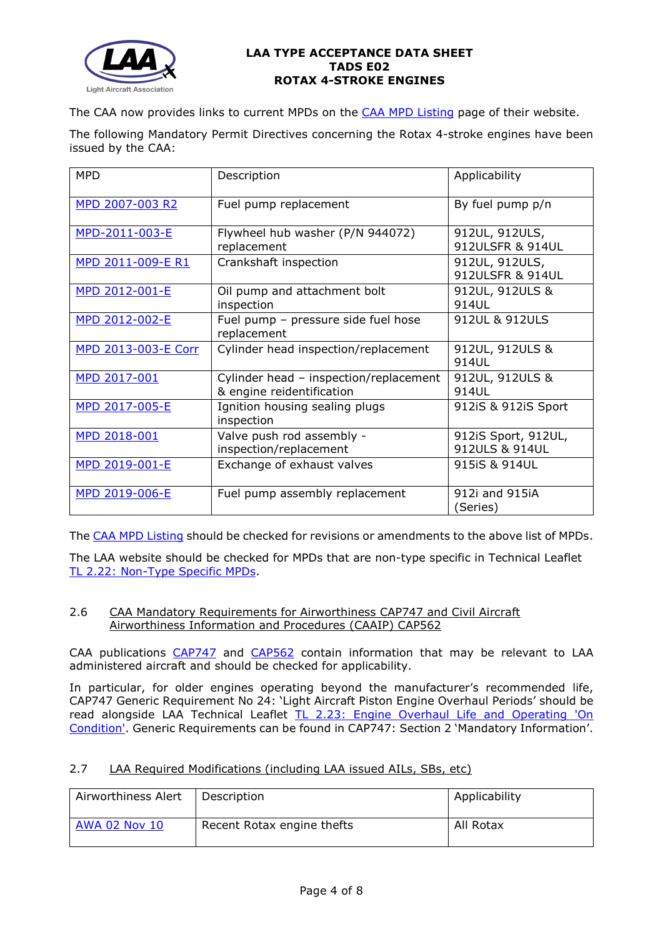

The CAA now provides links to current MPDs on the [CAA MPD Listing](http://publicapps.caa.co.uk/modalapplication.aspx?appid=11&mode=list&type=sercat&id=55) page of their website.

The following Mandatory Permit Directives concerning the Rotax 4-stroke engines have been issued by the CAA:

| <b>MPD</b>                 | Description                                                         | Applicability                         |
|----------------------------|---------------------------------------------------------------------|---------------------------------------|
| MPD 2007-003 R2            | Fuel pump replacement                                               | By fuel pump p/n                      |
| MPD-2011-003-E             | Flywheel hub washer (P/N 944072)<br>replacement                     | 912UL, 912ULS,<br>912ULSFR & 914UL    |
| MPD 2011-009-E R1          | Crankshaft inspection                                               | 912UL, 912ULS,<br>912ULSFR & 914UL    |
| MPD 2012-001-E             | Oil pump and attachment bolt<br>inspection                          | 912UL, 912ULS &<br>914UL              |
| MPD 2012-002-E             | Fuel pump - pressure side fuel hose<br>replacement                  | 912UL & 912ULS                        |
| <b>MPD 2013-003-E Corr</b> | Cylinder head inspection/replacement                                | 912UL, 912ULS &<br>914UL              |
| MPD 2017-001               | Cylinder head - inspection/replacement<br>& engine reidentification | 912UL, 912ULS &<br>914UL              |
| MPD 2017-005-E             | Ignition housing sealing plugs<br>inspection                        | 912iS & 912iS Sport                   |
| MPD 2018-001               | Valve push rod assembly -<br>inspection/replacement                 | 912iS Sport, 912UL,<br>912ULS & 914UL |
| MPD 2019-001-E             | Exchange of exhaust valves                                          | 915iS & 914UL                         |
| MPD 2019-006-E             | Fuel pump assembly replacement                                      | 912i and 915iA<br>(Series)            |

The [CAA MPD Listing](http://publicapps.caa.co.uk/modalapplication.aspx?appid=11&mode=list&type=sercat&id=55) should be checked for revisions or amendments to the above list of MPDs.

The LAA website should be checked for MPDs that are non-type specific in Technical Leaflet [TL 2.22: Non-Type Specific MPDs.](http://www.lightaircraftassociation.co.uk/engineering/TechnicalLeaflets/Operating%20An%20Aircraft/TL%202.22%20non-type%20specific%20MPDs.pdf)

## 2.6 CAA Mandatory Requirements for Airworthiness CAP747 and Civil Aircraft Airworthiness Information and Procedures (CAAIP) CAP562

CAA publications [CAP747](http://www.caa.co.uk/CAP747) and [CAP562](http://www.caa.co.uk/CAP562) contain information that may be relevant to LAA administered aircraft and should be checked for applicability.

In particular, for older engines operating beyond the manufacturer's recommended life, CAP747 Generic Requirement No 24: 'Light Aircraft Piston Engine Overhaul Periods' should be read alongside LAA Technical Leaflet [TL 2.23: Engine Overhaul Life and Operating 'On](http://www.lightaircraftassociation.co.uk/engineering/TechnicalLeaflets/Operating%20An%20Aircraft/TL%202%2023%20Engine%20overhaul%20life%20and%20operating%20on-condition.pdf)  [Condition'.](http://www.lightaircraftassociation.co.uk/engineering/TechnicalLeaflets/Operating%20An%20Aircraft/TL%202%2023%20Engine%20overhaul%20life%20and%20operating%20on-condition.pdf) Generic Requirements can be found in CAP747: Section 2 'Mandatory Information'.

## 2.7 LAA Required Modifications (including LAA issued AILs, SBs, etc)

| Airworthiness Alert  | Description                | Applicability |
|----------------------|----------------------------|---------------|
| <b>AWA 02 Nov 10</b> | Recent Rotax engine thefts | All Rotax     |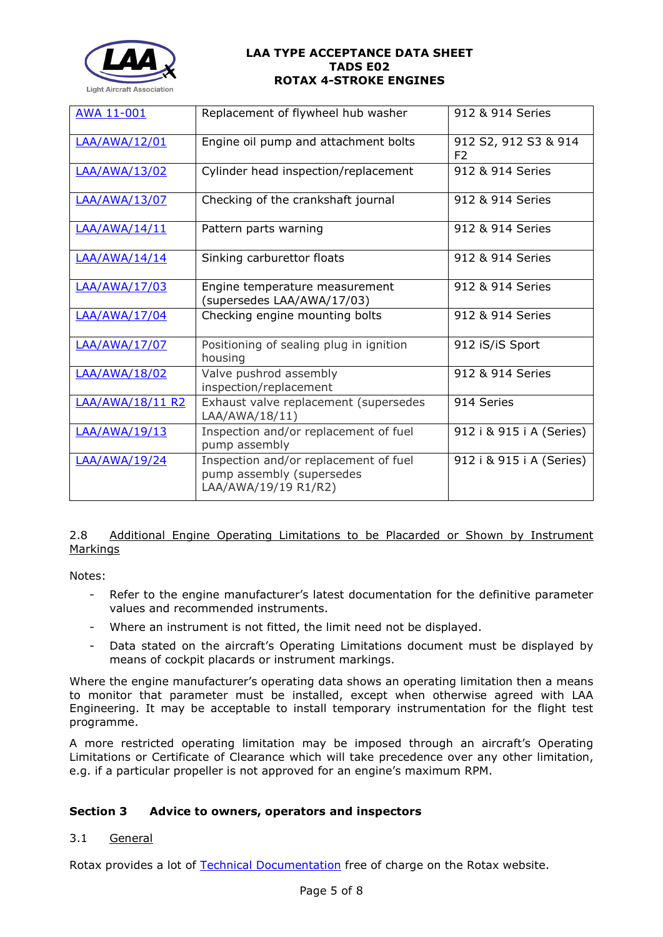

| <b>AWA 11-001</b>    | Replacement of flywheel hub washer                                                         | 912 & 914 Series                       |
|----------------------|--------------------------------------------------------------------------------------------|----------------------------------------|
| LAA/AWA/12/01        | Engine oil pump and attachment bolts                                                       | 912 S2, 912 S3 & 914<br>F <sub>2</sub> |
| LAA/AWA/13/02        | Cylinder head inspection/replacement                                                       | 912 & 914 Series                       |
| <b>LAA/AWA/13/07</b> | Checking of the crankshaft journal                                                         | 912 & 914 Series                       |
| LAA/AWA/14/11        | Pattern parts warning                                                                      | 912 & 914 Series                       |
| LAA/AWA/14/14        | Sinking carburettor floats                                                                 | 912 & 914 Series                       |
| LAA/AWA/17/03        | Engine temperature measurement<br>(supersedes LAA/AWA/17/03)                               | 912 & 914 Series                       |
| LAA/AWA/17/04        | Checking engine mounting bolts                                                             | 912 & 914 Series                       |
| LAA/AWA/17/07        | Positioning of sealing plug in ignition<br>housing                                         | 912 iS/iS Sport                        |
| LAA/AWA/18/02        | Valve pushrod assembly<br>inspection/replacement                                           | 912 & 914 Series                       |
| LAA/AWA/18/11 R2     | Exhaust valve replacement (supersedes<br>LAA/AWA/18/11)                                    | 914 Series                             |
| LAA/AWA/19/13        | Inspection and/or replacement of fuel<br>pump assembly                                     | 912 i & 915 i A (Series)               |
| LAA/AWA/19/24        | Inspection and/or replacement of fuel<br>pump assembly (supersedes<br>LAA/AWA/19/19 R1/R2) | 912 i & 915 i A (Series)               |

# 2.8 Additional Engine Operating Limitations to be Placarded or Shown by Instrument Markings

Notes:

- Refer to the engine manufacturer's latest documentation for the definitive parameter values and recommended instruments.
- Where an instrument is not fitted, the limit need not be displayed.
- Data stated on the aircraft's Operating Limitations document must be displayed by means of cockpit placards or instrument markings.

Where the engine manufacturer's operating data shows an operating limitation then a means to monitor that parameter must be installed, except when otherwise agreed with LAA Engineering. It may be acceptable to install temporary instrumentation for the flight test programme.

A more restricted operating limitation may be imposed through an aircraft's Operating Limitations or Certificate of Clearance which will take precedence over any other limitation, e.g. if a particular propeller is not approved for an engine's maximum RPM.

# **Section 3 Advice to owners, operators and inspectors**

# 3.1 General

Rotax provides a lot of [Technical Documentation](https://www.flyrotax.com/services/technical-documentation.html) free of charge on the Rotax website.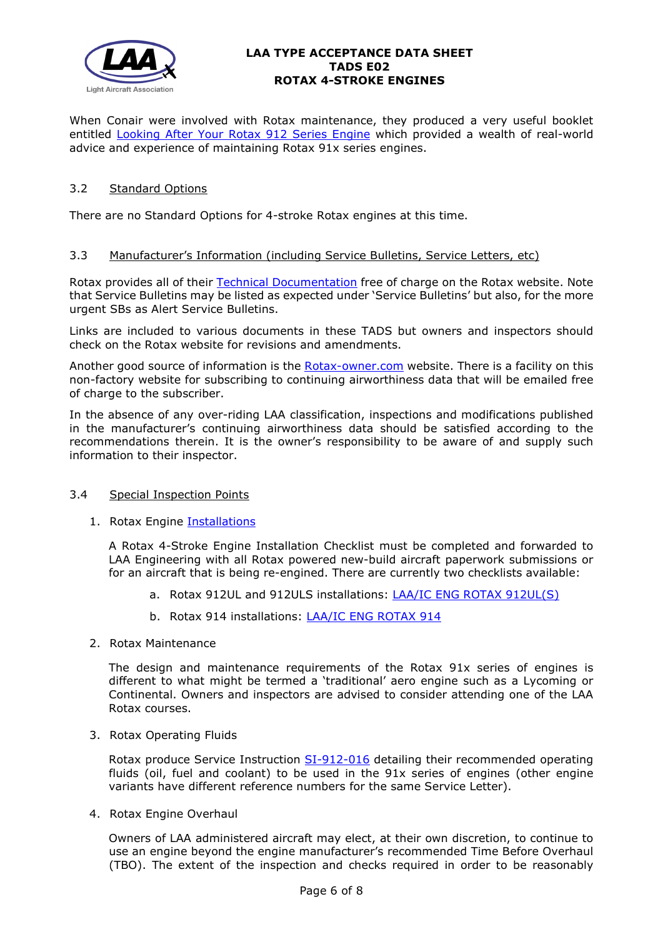

When Conair were involved with Rotax maintenance, they produced a very useful booklet entitled [Looking After Your Rotax 912 Series Engine](http://www.lightaircraftassociation.co.uk/engineering/TADs/E02/Conair%20Rotax%20912%20Maintenance%20Booklet.pdf) which provided a wealth of real-world advice and experience of maintaining Rotax 91x series engines.

# 3.2 Standard Options

There are no Standard Options for 4-stroke Rotax engines at this time.

## 3.3 Manufacturer's Information (including Service Bulletins, Service Letters, etc)

Rotax provides all of their [Technical Documentation](https://www.flyrotax.com/services/technical-documentation.html) free of charge on the Rotax website. Note that Service Bulletins may be listed as expected under 'Service Bulletins' but also, for the more urgent SBs as Alert Service Bulletins.

Links are included to various documents in these TADS but owners and inspectors should check on the Rotax website for revisions and amendments.

Another good source of information is the [Rotax-owner.com](https://www.rotax-owner.com/en/) website. There is a facility on this non-factory website for subscribing to continuing airworthiness data that will be emailed free of charge to the subscriber.

In the absence of any over-riding LAA classification, inspections and modifications published in the manufacturer's continuing airworthiness data should be satisfied according to the recommendations therein. It is the owner's responsibility to be aware of and supply such information to their inspector.

## 3.4 Special Inspection Points

1. Rotax Engine [Installations](http://www.lightaircraftassociation.co.uk/engineering/TADs/E02/SI-912-016R10.pdf)

A Rotax 4-Stroke Engine Installation Checklist must be completed and forwarded to LAA Engineering with all Rotax powered new-build aircraft paperwork submissions or for an aircraft that is being re-engined. There are currently two checklists available:

- a. Rotax 912UL and 912ULS installations: [LAA/IC ENG ROTAX 912UL\(S\)](http://www.lightaircraftassociation.co.uk/engineering/StandardForms/LAA-IC-ENG-ROTAX912-UL(S).pdf)
- b. Rotax 914 installations: [LAA/IC ENG ROTAX 914](http://www.lightaircraftassociation.co.uk/engineering/StandardForms/LAA-IC-ENG-ROTAX914.pdf)
- 2. Rotax Maintenance

The design and maintenance requirements of the Rotax 91x series of engines is different to what might be termed a 'traditional' aero engine such as a Lycoming or Continental. Owners and inspectors are advised to consider attending one of the LAA Rotax courses.

3. Rotax Operating Fluids

Rotax produce Service Instruction [SI-912-016](http://www.lightaircraftassociation.co.uk/engineering/TADs/E02/SI-912-016R10.pdf) detailing their recommended operating fluids (oil, fuel and coolant) to be used in the 91x series of engines (other engine variants have different reference numbers for the same Service Letter).

4. Rotax Engine Overhaul

Owners of LAA administered aircraft may elect, at their own discretion, to continue to use an engine beyond the engine manufacturer's recommended Time Before Overhaul (TBO). The extent of the inspection and checks required in order to be reasonably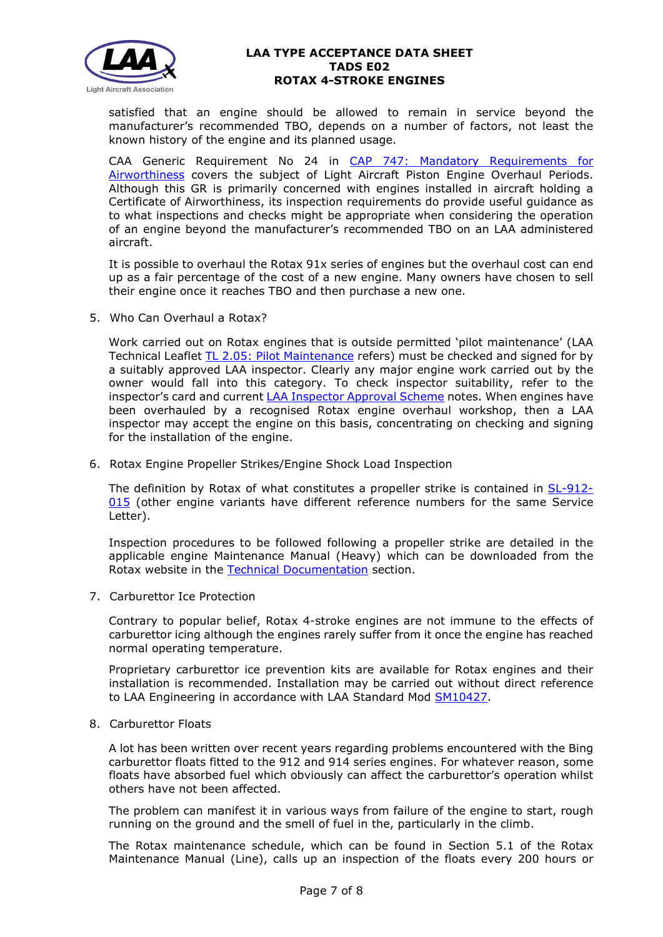

satisfied that an engine should be allowed to remain in service beyond the manufacturer's recommended TBO, depends on a number of factors, not least the known history of the engine and its planned usage.

CAA Generic Requirement No 24 in [CAP 747: Mandatory Requirements for](https://caa.co.uk/cap747)  [Airworthiness](https://caa.co.uk/cap747) covers the subject of Light Aircraft Piston Engine Overhaul Periods. Although this GR is primarily concerned with engines installed in aircraft holding a Certificate of Airworthiness, its inspection requirements do provide useful guidance as to what inspections and checks might be appropriate when considering the operation of an engine beyond the manufacturer's recommended TBO on an LAA administered aircraft.

It is possible to overhaul the Rotax 91x series of engines but the overhaul cost can end up as a fair percentage of the cost of a new engine. Many owners have chosen to sell their engine once it reaches TBO and then purchase a new one.

5. Who Can Overhaul a Rotax?

Work carried out on Rotax engines that is outside permitted 'pilot maintenance' (LAA Technical Leaflet [TL 2.05: Pilot Maintenance](http://www.lightaircraftassociation.co.uk/engineering/TechnicalLeaflets/Operating%20An%20Aircraft/TL%202.05%20Pilot%20Maintenance.pdf) refers) must be checked and signed for by a suitably approved LAA inspector. Clearly any major engine work carried out by the owner would fall into this category. To check inspector suitability, refer to the inspector's card and current [LAA Inspector Approval Scheme](http://www.lightaircraftassociation.co.uk/inspectors/Zone/approval/LAA%20INSPECTOR%20APPROVAL%20SCHEME.PDF) notes. When engines have been overhauled by a recognised Rotax engine overhaul workshop, then a LAA inspector may accept the engine on this basis, concentrating on checking and signing for the installation of the engine.

6. Rotax Engine Propeller Strikes/Engine Shock Load Inspection

The definition by Rotax of what constitutes a propeller strike is contained in [SL-912-](http://www.lightaircraftassociation.co.uk/engineering/TADs/E02/SL-912-015R1.pdf) [015](http://www.lightaircraftassociation.co.uk/engineering/TADs/E02/SL-912-015R1.pdf) (other engine variants have different reference numbers for the same Service Letter).

Inspection procedures to be followed following a propeller strike are detailed in the applicable engine Maintenance Manual (Heavy) which can be downloaded from the Rotax website in the [Technical Documentation](https://www.flyrotax.com/services/technical-documentation.html) section.

7. Carburettor Ice Protection

Contrary to popular belief, Rotax 4-stroke engines are not immune to the effects of carburettor icing although the engines rarely suffer from it once the engine has reached normal operating temperature.

Proprietary carburettor ice prevention kits are available for Rotax engines and their installation is recommended. Installation may be carried out without direct reference to LAA Engineering in accordance with LAA Standard Mod [SM10427.](http://www.lightaircraftassociation.co.uk/pdf/Engineering/Standard%20Mod%202008/Engines/SM10427_Rotax%20Carburettor%20Heater.pdf)

8. Carburettor Floats

A lot has been written over recent years regarding problems encountered with the Bing carburettor floats fitted to the 912 and 914 series engines. For whatever reason, some floats have absorbed fuel which obviously can affect the carburettor's operation whilst others have not been affected.

The problem can manifest it in various ways from failure of the engine to start, rough running on the ground and the smell of fuel in the, particularly in the climb.

The Rotax maintenance schedule, which can be found in Section 5.1 of the Rotax Maintenance Manual (Line), calls up an inspection of the floats every 200 hours or